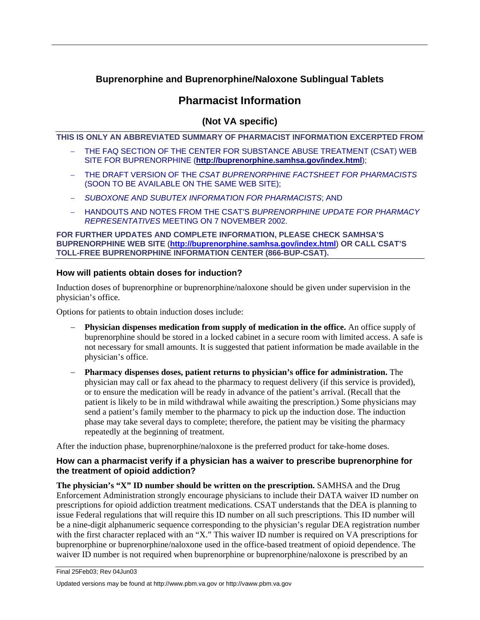## **Buprenorphine and Buprenorphine/Naloxone Sublingual Tablets**

# **Pharmacist Information**

## **(Not VA specific)**

**THIS IS ONLY AN ABBREVIATED SUMMARY OF PHARMACIST INFORMATION EXCERPTED FROM** 

- THE FAQ SECTION OF THE CENTER FOR SUBSTANCE ABUSE TREATMENT (CSAT) WEB SITE FOR BUPRENORPHINE (**<http://buprenorphine.samhsa.gov/index.html>**);
- − THE DRAFT VERSION OF THE *CSAT BUPRENORPHINE FACTSHEET FOR PHARMACISTS* (SOON TO BE AVAILABLE ON THE SAME WEB SITE);
- − *SUBOXONE AND SUBUTEX INFORMATION FOR PHARMACISTS*; AND
- − HANDOUTS AND NOTES FROM THE CSAT'S *BUPRENORPHINE UPDATE FOR PHARMACY REPRESENTATIVES* MEETING ON 7 NOVEMBER 2002.

**FOR FURTHER UPDATES AND COMPLETE INFORMATION, PLEASE CHECK SAMHSA'S BUPRENORPHINE WEB SITE** (**<http://buprenorphine.samhsa.gov/index.html>**) **OR CALL CSAT'S TOLL-FREE BUPRENORPHINE INFORMATION CENTER (866-BUP-CSAT).**

## **How will patients obtain doses for induction?**

Induction doses of buprenorphine or buprenorphine/naloxone should be given under supervision in the physician's office.

Options for patients to obtain induction doses include:

- **Physician dispenses medication from supply of medication in the office.** An office supply of buprenorphine should be stored in a locked cabinet in a secure room with limited access. A safe is not necessary for small amounts. It is suggested that patient information be made available in the physician's office.
- − **Pharmacy dispenses doses, patient returns to physician's office for administration.** The physician may call or fax ahead to the pharmacy to request delivery (if this service is provided), or to ensure the medication will be ready in advance of the patient's arrival. (Recall that the patient is likely to be in mild withdrawal while awaiting the prescription.) Some physicians may send a patient's family member to the pharmacy to pick up the induction dose. The induction phase may take several days to complete; therefore, the patient may be visiting the pharmacy repeatedly at the beginning of treatment.

After the induction phase, buprenorphine/naloxone is the preferred product for take-home doses.

## **How can a pharmacist verify if a physician has a waiver to prescribe buprenorphine for the treatment of opioid addiction?**

**The physician's "X" ID number should be written on the prescription.** SAMHSA and the Drug Enforcement Administration strongly encourage physicians to include their DATA waiver ID number on prescriptions for opioid addiction treatment medications. CSAT understands that the DEA is planning to issue Federal regulations that will require this ID number on all such prescriptions. This ID number will be a nine-digit alphanumeric sequence corresponding to the physician's regular DEA registration number with the first character replaced with an "X." This waiver ID number is required on VA prescriptions for buprenorphine or buprenorphine/naloxone used in the office-based treatment of opioid dependence. The waiver ID number is not required when buprenorphine or buprenorphine/naloxone is prescribed by an

Final 25Feb03; Rev 04Jun03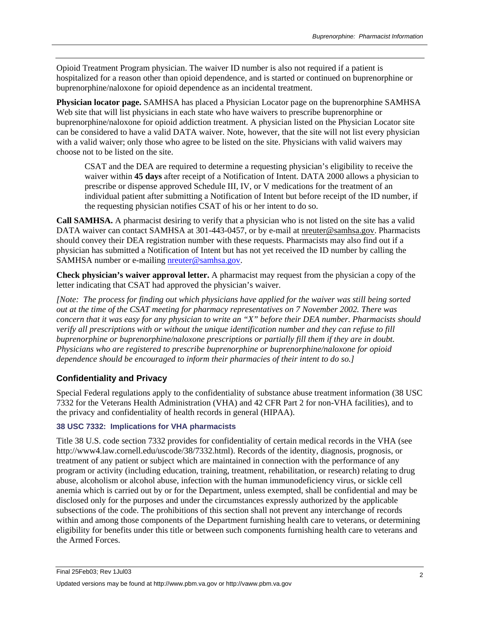Opioid Treatment Program physician. The waiver ID number is also not required if a patient is hospitalized for a reason other than opioid dependence, and is started or continued on buprenorphine or buprenorphine/naloxone for opioid dependence as an incidental treatment.

**Physician locator page.** SAMHSA has placed a Physician Locator page on the buprenorphine SAMHSA Web site that will list physicians in each state who have waivers to prescribe buprenorphine or buprenorphine/naloxone for opioid addiction treatment. A physician listed on the Physician Locator site can be considered to have a valid DATA waiver. Note, however, that the site will not list every physician with a valid waiver; only those who agree to be listed on the site. Physicians with valid waivers may choose not to be listed on the site.

CSAT and the DEA are required to determine a requesting physician's eligibility to receive the waiver within **45 days** after receipt of a Notification of Intent. DATA 2000 allows a physician to prescribe or dispense approved Schedule III, IV, or V medications for the treatment of an individual patient after submitting a Notification of Intent but before receipt of the ID number, if the requesting physician notifies CSAT of his or her intent to do so.

**Call SAMHSA.** A pharmacist desiring to verify that a physician who is not listed on the site has a valid DATA waiver can contact SAMHSA at 301-443-0457, or by e-mail at [nreuter@samhsa.gov.](mailto:nreuter@samhsa.gov) Pharmacists should convey their DEA registration number with these requests. Pharmacists may also find out if a physician has submitted a Notification of Intent but has not yet received the ID number by calling the SAMHSA number or e-mailing [nreuter@samhsa.gov.](mailto:nreuter@samhsa.gov)

**Check physician's waiver approval letter.** A pharmacist may request from the physician a copy of the letter indicating that CSAT had approved the physician's waiver.

*[Note: The process for finding out which physicians have applied for the waiver was still being sorted out at the time of the CSAT meeting for pharmacy representatives on 7 November 2002. There was concern that it was easy for any physician to write an "X" before their DEA number. Pharmacists should verify all prescriptions with or without the unique identification number and they can refuse to fill buprenorphine or buprenorphine/naloxone prescriptions or partially fill them if they are in doubt. Physicians who are registered to prescribe buprenorphine or buprenorphine/naloxone for opioid dependence should be encouraged to inform their pharmacies of their intent to do so.]*

## **Confidentiality and Privacy**

Special Federal regulations apply to the confidentiality of substance abuse treatment information (38 USC 7332 for the Veterans Health Administration (VHA) and 42 CFR Part 2 for non-VHA facilities), and to the privacy and confidentiality of health records in general (HIPAA).

### **38 USC 7332: Implications for VHA pharmacists**

Title 38 U.S. code section 7332 provides for confidentiality of certain medical records in the VHA (see http://www4.law.cornell.edu/uscode/38/7332.html). Records of the identity, diagnosis, prognosis, or treatment of any patient or subject which are maintained in connection with the performance of any program or activity (including education, training, treatment, rehabilitation, or research) relating to drug abuse, alcoholism or alcohol abuse, infection with the human immunodeficiency virus, or sickle cell anemia which is carried out by or for the Department, unless exempted, shall be confidential and may be disclosed only for the purposes and under the circumstances expressly authorized by the applicable subsections of the code. The prohibitions of this section shall not prevent any interchange of records within and among those components of the Department furnishing health care to veterans, or determining eligibility for benefits under this title or between such components furnishing health care to veterans and the Armed Forces.

Final 25Feb03; Rev 1Jul03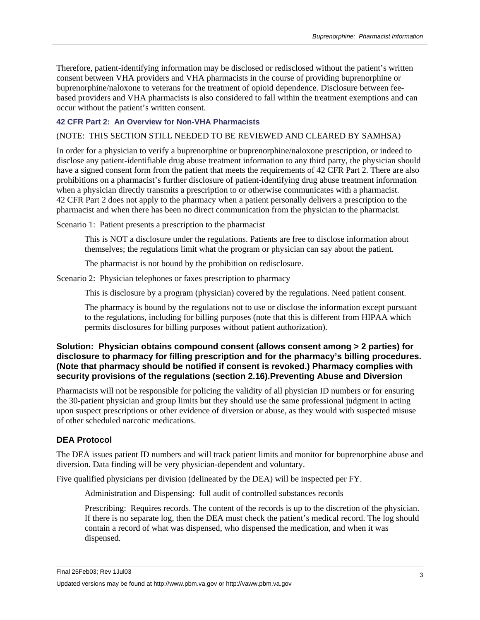Therefore, patient-identifying information may be disclosed or redisclosed without the patient's written consent between VHA providers and VHA pharmacists in the course of providing buprenorphine or buprenorphine/naloxone to veterans for the treatment of opioid dependence. Disclosure between feebased providers and VHA pharmacists is also considered to fall within the treatment exemptions and can occur without the patient's written consent.

#### **42 CFR Part 2: An Overview for Non-VHA Pharmacists**

#### (NOTE: THIS SECTION STILL NEEDED TO BE REVIEWED AND CLEARED BY SAMHSA)

In order for a physician to verify a buprenorphine or buprenorphine/naloxone prescription, or indeed to disclose any patient-identifiable drug abuse treatment information to any third party, the physician should have a signed consent form from the patient that meets the requirements of 42 CFR Part 2. There are also prohibitions on a pharmacist's further disclosure of patient-identifying drug abuse treatment information when a physician directly transmits a prescription to or otherwise communicates with a pharmacist. 42 CFR Part 2 does not apply to the pharmacy when a patient personally delivers a prescription to the pharmacist and when there has been no direct communication from the physician to the pharmacist.

Scenario 1: Patient presents a prescription to the pharmacist

This is NOT a disclosure under the regulations. Patients are free to disclose information about themselves; the regulations limit what the program or physician can say about the patient.

The pharmacist is not bound by the prohibition on redisclosure.

Scenario 2: Physician telephones or faxes prescription to pharmacy

This is disclosure by a program (physician) covered by the regulations. Need patient consent.

The pharmacy is bound by the regulations not to use or disclose the information except pursuant to the regulations, including for billing purposes (note that this is different from HIPAA which permits disclosures for billing purposes without patient authorization).

## **Solution: Physician obtains compound consent (allows consent among > 2 parties) for disclosure to pharmacy for filling prescription and for the pharmacy's billing procedures. (Note that pharmacy should be notified if consent is revoked.) Pharmacy complies with security provisions of the regulations (section 2.16).Preventing Abuse and Diversion**

Pharmacists will not be responsible for policing the validity of all physician ID numbers or for ensuring the 30-patient physician and group limits but they should use the same professional judgment in acting upon suspect prescriptions or other evidence of diversion or abuse, as they would with suspected misuse of other scheduled narcotic medications.

#### **DEA Protocol**

The DEA issues patient ID numbers and will track patient limits and monitor for buprenorphine abuse and diversion. Data finding will be very physician-dependent and voluntary.

Five qualified physicians per division (delineated by the DEA) will be inspected per FY.

Administration and Dispensing: full audit of controlled substances records

Prescribing: Requires records. The content of the records is up to the discretion of the physician. If there is no separate log, then the DEA must check the patient's medical record. The log should contain a record of what was dispensed, who dispensed the medication, and when it was dispensed.

Final 25Feb03; Rev 1Jul03